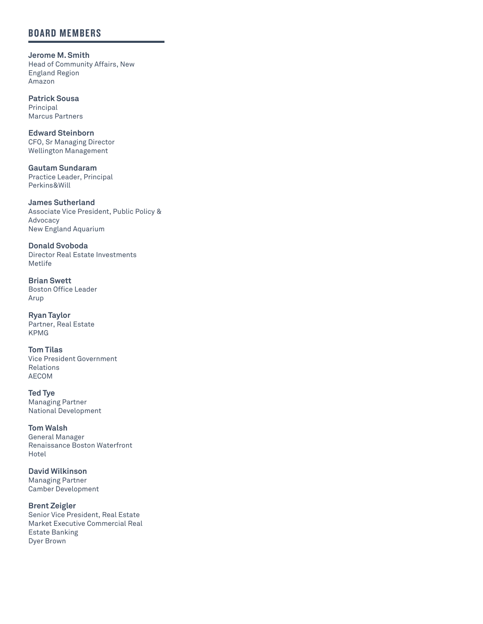### **BOARD MEMBERS**

**Jerome M. Smith** Head of Community Affairs, New England Region Amazon

**Patrick Sousa** Principal Marcus Partners

**Edward Steinborn** CFO, Sr Managing Director Wellington Management

**Gautam Sundaram**  Practice Leader, Principal Perkins&Will

**James Sutherland**  Associate Vice President, Public Policy & Advocacy New England Aquarium

**Donald Svoboda** Director Real Estate Investments Metlife

**Brian Swett** Boston Office Leader Arup

**Ryan Taylor** Partner, Real Estate KPMG

**Tom Tilas** Vice President Government Relations AECOM

**Ted Tye** Managing Partner National Development

**Tom Walsh** General Manager Renaissance Boston Waterfront Hotel

**David Wilkinson**  Managing Partner Camber Development

**Brent Zeigler** Senior Vice President, Real Estate Market Executive Commercial Real Estate Banking Dyer Brown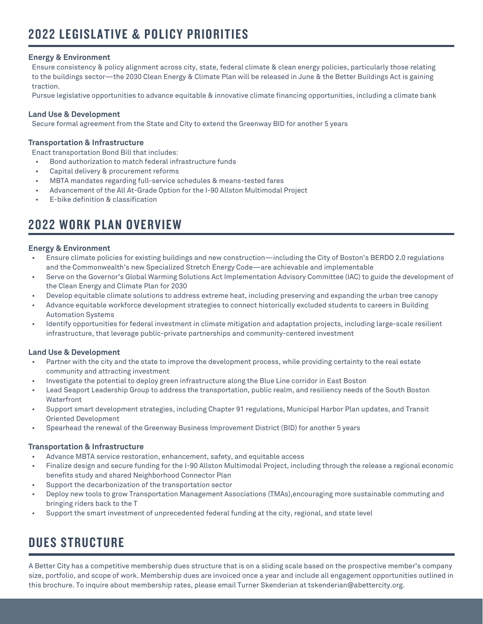#### **Energy & Environment**

Ensure consistency & policy alignment across city, state, federal climate & clean energy policies, particularly those relating to the buildings sector—the 2030 Clean Energy & Climate Plan will be released in June & the Better Buildings Act is gaining traction.

Pursue legislative opportunities to advance equitable & innovative climate financing opportunities, including a climate bank

#### **Land Use & Development**

Secure formal agreement from the State and City to extend the Greenway BID for another 5 years

#### **Transportation & Infrastructure**

Enact transportation Bond Bill that includes:

- Bond authorization to match federal infrastructure funds
- Capital delivery & procurement reforms
- MBTA mandates regarding full-service schedules & means-tested fares
- Advancement of the All At-Grade Option for the I-90 Allston Multimodal Project
- E-bike definition & classification

## **2022 WORK PLAN OVERVIEW**

#### **Energy & Environment**

- Ensure climate policies for existing buildings and new construction—including the City of Boston's BERDO 2.0 regulations and the Commonwealth's new Specialized Stretch Energy Code—are achievable and implementable
- Serve on the Governor's Global Warming Solutions Act Implementation Advisory Committee (IAC) to guide the development of the Clean Energy and Climate Plan for 2030
- Develop equitable climate solutions to address extreme heat, including preserving and expanding the urban tree canopy
- Advance equitable workforce development strategies to connect historically excluded students to careers in Building Automation Systems
- Identify opportunities for federal investment in climate mitigation and adaptation projects, including large-scale resilient infrastructure, that leverage public-private partnerships and community-centered investment

#### **Land Use & Development**

- Partner with the city and the state to improve the development process, while providing certainty to the real estate community and attracting investment
- Investigate the potential to deploy green infrastructure along the Blue Line corridor in East Boston
- Lead Seaport Leadership Group to address the transportation, public realm, and resiliency needs of the South Boston Waterfront
- Support smart development strategies, including Chapter 91 regulations, Municipal Harbor Plan updates, and Transit Oriented Development
- Spearhead the renewal of the Greenway Business Improvement District (BID) for another 5 years

#### **Transportation & Infrastructure**

- Advance MBTA service restoration, enhancement, safety, and equitable access
- Finalize design and secure funding for the I-90 Allston Multimodal Project, including through the release a regional economic benefits study and shared Neighborhood Connector Plan
- Support the decarbonization of the transportation sector
- Deploy new tools to grow Transportation Management Associations (TMAs),encouraging more sustainable commuting and bringing riders back to the T
- Support the smart investment of unprecedented federal funding at the city, regional, and state level

## **DUES STRUCTURE**

A Better City has a competitive membership dues structure that is on a sliding scale based on the prospective member's company size, portfolio, and scope of work. Membership dues are invoiced once a year and include all engagement opportunities outlined in this brochure. To inquire about membership rates, please email Turner Skenderian at tskenderian@abettercity.org.